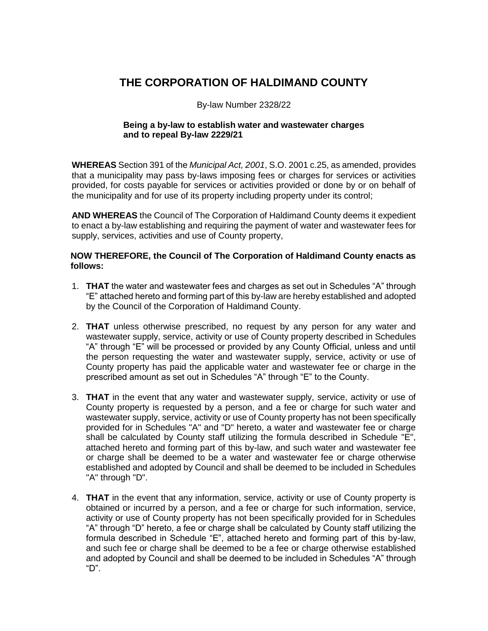#### **THE CORPORATION OF HALDIMAND COUNTY**

#### By-law Number 2328/22

#### **Being a by-law to establish water and wastewater charges and to repeal By-law 2229/21**

**WHEREAS** Section 391 of the *Municipal Act, 2001*, S.O. 2001 c.25, as amended, provides that a municipality may pass by-laws imposing fees or charges for services or activities provided, for costs payable for services or activities provided or done by or on behalf of the municipality and for use of its property including property under its control;

**AND WHEREAS** the Council of The Corporation of Haldimand County deems it expedient to enact a by-law establishing and requiring the payment of water and wastewater fees for supply, services, activities and use of County property,

#### **NOW THEREFORE, the Council of The Corporation of Haldimand County enacts as follows:**

- 1. **THAT** the water and wastewater fees and charges as set out in Schedules "A" through "E" attached hereto and forming part of this by-law are hereby established and adopted by the Council of the Corporation of Haldimand County.
- 2. **THAT** unless otherwise prescribed, no request by any person for any water and wastewater supply, service, activity or use of County property described in Schedules "A" through "E" will be processed or provided by any County Official, unless and until the person requesting the water and wastewater supply, service, activity or use of County property has paid the applicable water and wastewater fee or charge in the prescribed amount as set out in Schedules "A" through "E" to the County.
- 3. **THAT** in the event that any water and wastewater supply, service, activity or use of County property is requested by a person, and a fee or charge for such water and wastewater supply, service, activity or use of County property has not been specifically provided for in Schedules "A" and "D" hereto, a water and wastewater fee or charge shall be calculated by County staff utilizing the formula described in Schedule "E", attached hereto and forming part of this by-law, and such water and wastewater fee or charge shall be deemed to be a water and wastewater fee or charge otherwise established and adopted by Council and shall be deemed to be included in Schedules "A" through "D".
- 4. **THAT** in the event that any information, service, activity or use of County property is obtained or incurred by a person, and a fee or charge for such information, service, activity or use of County property has not been specifically provided for in Schedules "A" through "D" hereto, a fee or charge shall be calculated by County staff utilizing the formula described in Schedule "E", attached hereto and forming part of this by-law, and such fee or charge shall be deemed to be a fee or charge otherwise established and adopted by Council and shall be deemed to be included in Schedules "A" through "D".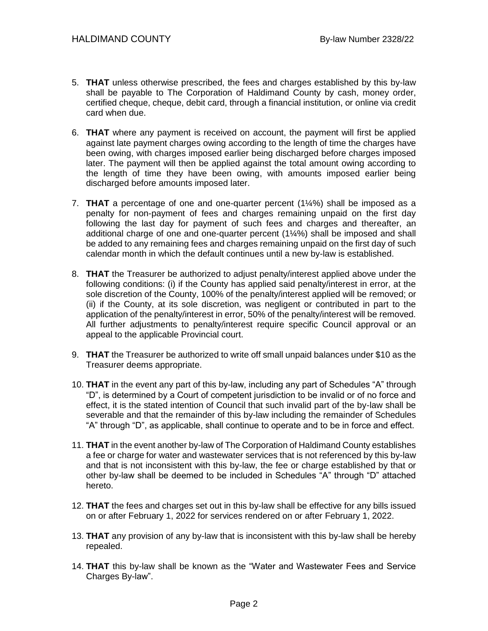- 5. **THAT** unless otherwise prescribed, the fees and charges established by this by-law shall be payable to The Corporation of Haldimand County by cash, money order, certified cheque, cheque, debit card, through a financial institution, or online via credit card when due.
- 6. **THAT** where any payment is received on account, the payment will first be applied against late payment charges owing according to the length of time the charges have been owing, with charges imposed earlier being discharged before charges imposed later. The payment will then be applied against the total amount owing according to the length of time they have been owing, with amounts imposed earlier being discharged before amounts imposed later.
- 7. **THAT** a percentage of one and one-quarter percent (1¼%) shall be imposed as a penalty for non-payment of fees and charges remaining unpaid on the first day following the last day for payment of such fees and charges and thereafter, an additional charge of one and one-quarter percent (1¼%) shall be imposed and shall be added to any remaining fees and charges remaining unpaid on the first day of such calendar month in which the default continues until a new by-law is established.
- 8. **THAT** the Treasurer be authorized to adjust penalty/interest applied above under the following conditions: (i) if the County has applied said penalty/interest in error, at the sole discretion of the County, 100% of the penalty/interest applied will be removed; or (ii) if the County, at its sole discretion, was negligent or contributed in part to the application of the penalty/interest in error, 50% of the penalty/interest will be removed. All further adjustments to penalty/interest require specific Council approval or an appeal to the applicable Provincial court.
- 9. **THAT** the Treasurer be authorized to write off small unpaid balances under \$10 as the Treasurer deems appropriate.
- 10. **THAT** in the event any part of this by-law, including any part of Schedules "A" through "D", is determined by a Court of competent jurisdiction to be invalid or of no force and effect, it is the stated intention of Council that such invalid part of the by-law shall be severable and that the remainder of this by-law including the remainder of Schedules "A" through "D", as applicable, shall continue to operate and to be in force and effect.
- 11. **THAT** in the event another by-law of The Corporation of Haldimand County establishes a fee or charge for water and wastewater services that is not referenced by this by-law and that is not inconsistent with this by-law, the fee or charge established by that or other by-law shall be deemed to be included in Schedules "A" through "D" attached hereto.
- 12. **THAT** the fees and charges set out in this by-law shall be effective for any bills issued on or after February 1, 2022 for services rendered on or after February 1, 2022.
- 13. **THAT** any provision of any by-law that is inconsistent with this by-law shall be hereby repealed.
- 14. **THAT** this by-law shall be known as the "Water and Wastewater Fees and Service Charges By-law".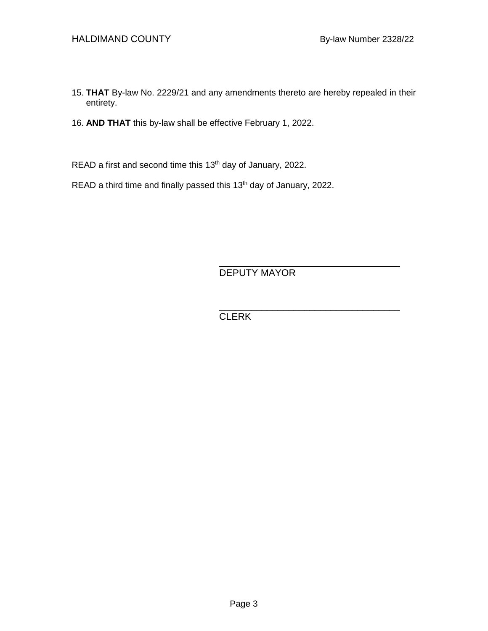- 15. **THAT** By-law No. 2229/21 and any amendments thereto are hereby repealed in their entirety.
- 16. **AND THAT** this by-law shall be effective February 1, 2022.

READ a first and second time this 13<sup>th</sup> day of January, 2022.

READ a third time and finally passed this 13<sup>th</sup> day of January, 2022.

DEPUTY MAYOR

\_\_\_\_\_\_\_\_\_\_\_\_\_\_\_\_\_\_\_\_\_\_\_\_\_\_\_\_\_\_\_\_\_\_

\_\_\_\_\_\_\_\_\_\_\_\_\_\_\_\_\_\_\_\_\_\_\_\_\_\_\_\_\_\_\_\_\_\_ **CLERK**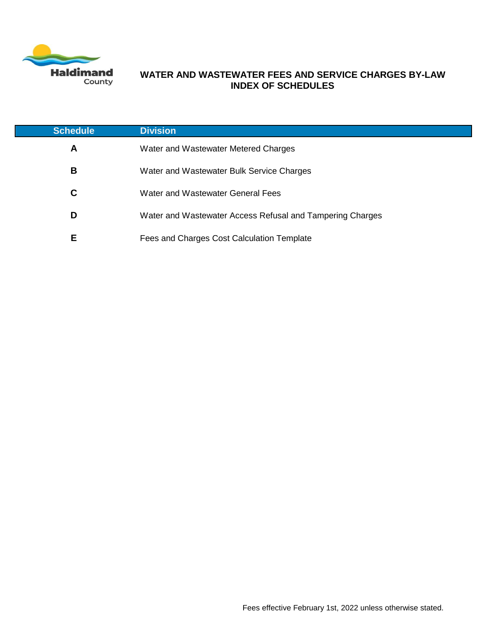

#### **WATER AND WASTEWATER FEES AND SERVICE CHARGES BY-LAW INDEX OF SCHEDULES**

| <b>Schedule</b> | <b>Division</b>                                           |
|-----------------|-----------------------------------------------------------|
| A               | Water and Wastewater Metered Charges                      |
| в               | Water and Wastewater Bulk Service Charges                 |
| C               | Water and Wastewater General Fees                         |
| D               | Water and Wastewater Access Refusal and Tampering Charges |
| Е               | Fees and Charges Cost Calculation Template                |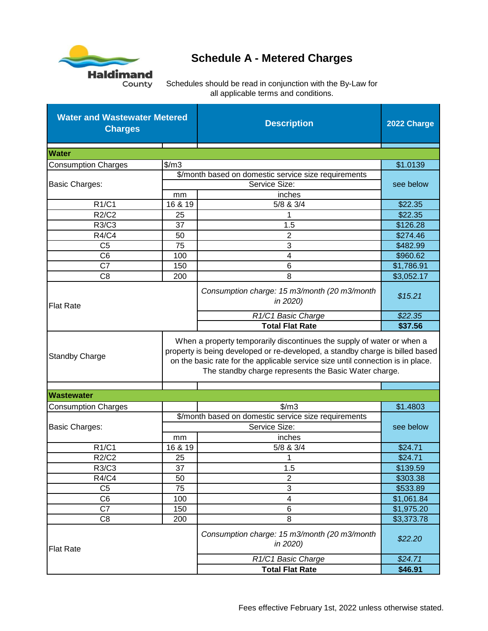

# **Schedule A - Metered Charges**

| <b>Water and Wastewater Metered</b><br><b>Charges</b>                                                                                                                                                                                                                                                                        |         | <b>Description</b>                                       | 2022 Charge |  |  |
|------------------------------------------------------------------------------------------------------------------------------------------------------------------------------------------------------------------------------------------------------------------------------------------------------------------------------|---------|----------------------------------------------------------|-------------|--|--|
| <b>Water</b>                                                                                                                                                                                                                                                                                                                 |         |                                                          |             |  |  |
| <b>Consumption Charges</b>                                                                                                                                                                                                                                                                                                   | \$/m3   |                                                          |             |  |  |
|                                                                                                                                                                                                                                                                                                                              |         | \$/month based on domestic service size requirements     | \$1.0139    |  |  |
| <b>Basic Charges:</b>                                                                                                                                                                                                                                                                                                        |         | Service Size:                                            |             |  |  |
|                                                                                                                                                                                                                                                                                                                              | mm      | inches                                                   | see below   |  |  |
| R1/C1                                                                                                                                                                                                                                                                                                                        | 16 & 19 | 5/8 & 3/4                                                | \$22.35     |  |  |
| R2/C2                                                                                                                                                                                                                                                                                                                        | 25      | 1                                                        | \$22.35     |  |  |
| R3/C3                                                                                                                                                                                                                                                                                                                        | 37      | 1.5                                                      | \$126.28    |  |  |
| <b>R4/C4</b>                                                                                                                                                                                                                                                                                                                 | 50      | 2                                                        | \$274.46    |  |  |
| C <sub>5</sub>                                                                                                                                                                                                                                                                                                               | 75      | 3                                                        | \$482.99    |  |  |
| C <sub>6</sub>                                                                                                                                                                                                                                                                                                               | 100     | 4                                                        | \$960.62    |  |  |
| C <sub>7</sub>                                                                                                                                                                                                                                                                                                               | 150     | 6                                                        | \$1,786.91  |  |  |
| C <sub>8</sub>                                                                                                                                                                                                                                                                                                               | 200     | 8                                                        | \$3,052.17  |  |  |
| <b>Flat Rate</b>                                                                                                                                                                                                                                                                                                             |         | Consumption charge: 15 m3/month (20 m3/month<br>in 2020) | \$15.21     |  |  |
|                                                                                                                                                                                                                                                                                                                              |         | R1/C1 Basic Charge                                       | \$22.35     |  |  |
|                                                                                                                                                                                                                                                                                                                              |         | <b>Total Flat Rate</b>                                   | \$37.56     |  |  |
| When a property temporarily discontinues the supply of water or when a<br>property is being developed or re-developed, a standby charge is billed based<br><b>Standby Charge</b><br>on the basic rate for the applicable service size until connection is in place.<br>The standby charge represents the Basic Water charge. |         |                                                          |             |  |  |
| <b>Wastewater</b>                                                                                                                                                                                                                                                                                                            |         |                                                          |             |  |  |
| <b>Consumption Charges</b>                                                                                                                                                                                                                                                                                                   |         | $\frac{m}{3}$                                            | \$1.4803    |  |  |
|                                                                                                                                                                                                                                                                                                                              |         | \$/month based on domestic service size requirements     |             |  |  |
| <b>Basic Charges:</b>                                                                                                                                                                                                                                                                                                        |         | Service Size:                                            | see below   |  |  |
|                                                                                                                                                                                                                                                                                                                              | mm      | inches                                                   |             |  |  |
| R1/C1                                                                                                                                                                                                                                                                                                                        | 16 & 19 | 5/8 & 3/4                                                | \$24.71     |  |  |
| <b>R2/C2</b>                                                                                                                                                                                                                                                                                                                 | 25      | 1                                                        | \$24.71     |  |  |
| R3/C3                                                                                                                                                                                                                                                                                                                        | 37      | 1.5                                                      | \$139.59    |  |  |
| <b>R4/C4</b>                                                                                                                                                                                                                                                                                                                 | 50      | 2                                                        | \$303.38    |  |  |
| C <sub>5</sub>                                                                                                                                                                                                                                                                                                               | 75      | 3                                                        | \$533.89    |  |  |
| C <sub>6</sub>                                                                                                                                                                                                                                                                                                               | 100     | 4                                                        | \$1,061.84  |  |  |
| C7                                                                                                                                                                                                                                                                                                                           | 150     | $\,6$                                                    | \$1,975.20  |  |  |
| C <sub>8</sub>                                                                                                                                                                                                                                                                                                               | 200     | 8                                                        | \$3,373.78  |  |  |
| <b>Flat Rate</b>                                                                                                                                                                                                                                                                                                             |         | Consumption charge: 15 m3/month (20 m3/month<br>in 2020) | \$22.20     |  |  |
|                                                                                                                                                                                                                                                                                                                              |         | R1/C1 Basic Charge                                       | \$24.71     |  |  |
|                                                                                                                                                                                                                                                                                                                              |         | <b>Total Flat Rate</b>                                   | \$46.91     |  |  |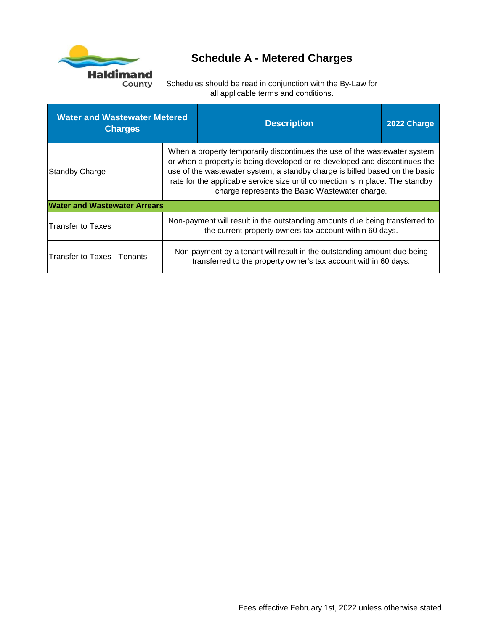

# **Schedule A - Metered Charges**

| <b>Water and Wastewater Metered</b><br><b>Charges</b> |                                                                                                                                                                                                                                                                                                                                                                            | <b>Description</b>                                                                                                                         | 2022 Charge |
|-------------------------------------------------------|----------------------------------------------------------------------------------------------------------------------------------------------------------------------------------------------------------------------------------------------------------------------------------------------------------------------------------------------------------------------------|--------------------------------------------------------------------------------------------------------------------------------------------|-------------|
| <b>Standby Charge</b>                                 | When a property temporarily discontinues the use of the wastewater system<br>or when a property is being developed or re-developed and discontinues the<br>use of the wastewater system, a standby charge is billed based on the basic<br>rate for the applicable service size until connection is in place. The standby<br>charge represents the Basic Wastewater charge. |                                                                                                                                            |             |
| <b>Water and Wastewater Arrears</b>                   |                                                                                                                                                                                                                                                                                                                                                                            |                                                                                                                                            |             |
| <b>Transfer to Taxes</b>                              |                                                                                                                                                                                                                                                                                                                                                                            | Non-payment will result in the outstanding amounts due being transferred to<br>the current property owners tax account within 60 days.     |             |
| <b>Transfer to Taxes - Tenants</b>                    |                                                                                                                                                                                                                                                                                                                                                                            | Non-payment by a tenant will result in the outstanding amount due being<br>transferred to the property owner's tax account within 60 days. |             |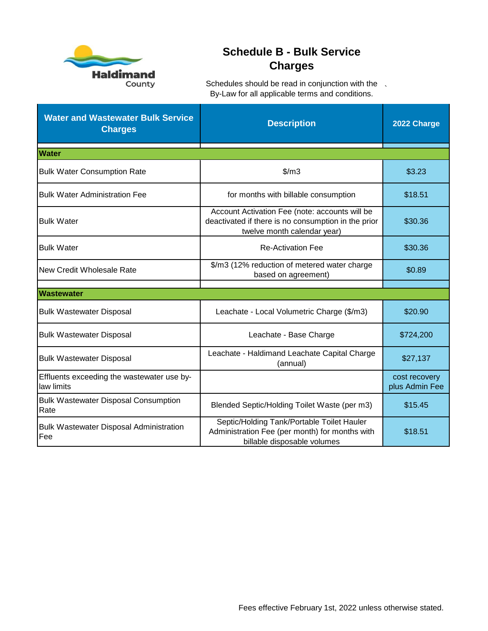

## **Schedule B - Bulk Service Charges**

| <b>Water and Wastewater Bulk Service</b><br><b>Charges</b> | <b>Description</b>                                                                                                                   | 2022 Charge                     |
|------------------------------------------------------------|--------------------------------------------------------------------------------------------------------------------------------------|---------------------------------|
| <b>Water</b>                                               |                                                                                                                                      |                                 |
| <b>Bulk Water Consumption Rate</b>                         | $\frac{m}{3}$                                                                                                                        | \$3.23                          |
| <b>Bulk Water Administration Fee</b>                       | for months with billable consumption                                                                                                 | \$18.51                         |
| <b>Bulk Water</b>                                          | Account Activation Fee (note: accounts will be<br>deactivated if there is no consumption in the prior<br>twelve month calendar year) | \$30.36                         |
| <b>Bulk Water</b><br><b>Re-Activation Fee</b>              |                                                                                                                                      | \$30.36                         |
| New Credit Wholesale Rate                                  | \$/m3 (12% reduction of metered water charge<br>based on agreement)                                                                  | \$0.89                          |
| <b>Wastewater</b>                                          |                                                                                                                                      |                                 |
| <b>Bulk Wastewater Disposal</b>                            | Leachate - Local Volumetric Charge (\$/m3)                                                                                           | \$20.90                         |
| <b>Bulk Wastewater Disposal</b>                            | Leachate - Base Charge                                                                                                               | \$724,200                       |
| <b>Bulk Wastewater Disposal</b>                            | Leachate - Haldimand Leachate Capital Charge<br>(annual)                                                                             | \$27,137                        |
| Effluents exceeding the wastewater use by-<br>law limits   |                                                                                                                                      | cost recovery<br>plus Admin Fee |
| <b>Bulk Wastewater Disposal Consumption</b><br>Rate        | Blended Septic/Holding Toilet Waste (per m3)                                                                                         | \$15.45                         |
| <b>Bulk Wastewater Disposal Administration</b><br>Fee      | Septic/Holding Tank/Portable Toilet Hauler<br>Administration Fee (per month) for months with<br>billable disposable volumes          | \$18.51                         |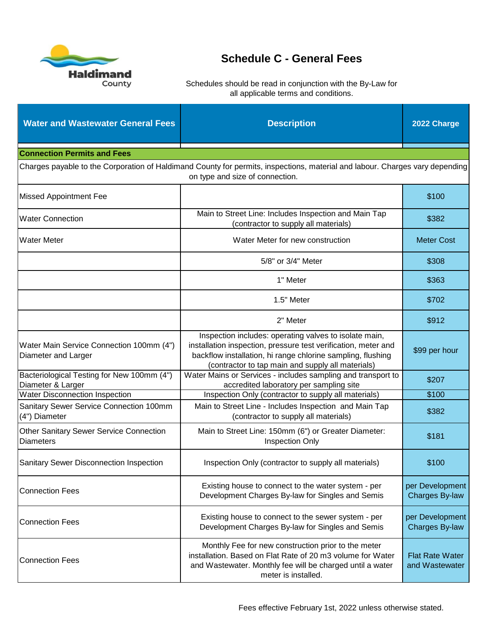

| <b>Water and Wastewater General Fees</b>                           | <b>Description</b>                                                                                                                                                                                                                                | 2022 Charge                       |  |
|--------------------------------------------------------------------|---------------------------------------------------------------------------------------------------------------------------------------------------------------------------------------------------------------------------------------------------|-----------------------------------|--|
| <b>Connection Permits and Fees</b>                                 |                                                                                                                                                                                                                                                   |                                   |  |
|                                                                    | Charges payable to the Corporation of Haldimand County for permits, inspections, material and labour. Charges vary depending<br>on type and size of connection.                                                                                   |                                   |  |
| <b>Missed Appointment Fee</b>                                      |                                                                                                                                                                                                                                                   | \$100                             |  |
| <b>Water Connection</b>                                            | Main to Street Line: Includes Inspection and Main Tap<br>(contractor to supply all materials)                                                                                                                                                     | \$382                             |  |
| <b>Water Meter</b>                                                 | Water Meter for new construction                                                                                                                                                                                                                  | <b>Meter Cost</b>                 |  |
|                                                                    | 5/8" or 3/4" Meter                                                                                                                                                                                                                                | \$308                             |  |
|                                                                    | 1" Meter                                                                                                                                                                                                                                          | \$363                             |  |
|                                                                    | 1.5" Meter                                                                                                                                                                                                                                        | \$702                             |  |
|                                                                    | 2" Meter                                                                                                                                                                                                                                          | \$912                             |  |
| Water Main Service Connection 100mm (4")<br>Diameter and Larger    | Inspection includes: operating valves to isolate main,<br>installation inspection, pressure test verification, meter and<br>backflow installation, hi range chlorine sampling, flushing<br>(contractor to tap main and supply all materials)      | \$99 per hour                     |  |
| Bacteriological Testing for New 100mm (4")<br>Diameter & Larger    | Water Mains or Services - includes sampling and transport to<br>accredited laboratory per sampling site                                                                                                                                           | \$207                             |  |
| <b>Water Disconnection Inspection</b>                              | Inspection Only (contractor to supply all materials)                                                                                                                                                                                              | \$100                             |  |
| Sanitary Sewer Service Connection 100mm<br>(4") Diameter           | Main to Street Line - Includes Inspection and Main Tap<br>(contractor to supply all materials)                                                                                                                                                    | \$382                             |  |
| <b>Other Sanitary Sewer Service Connection</b><br><b>Diameters</b> | Main to Street Line: 150mm (6") or Greater Diameter:<br><b>Inspection Only</b>                                                                                                                                                                    | \$181                             |  |
| Sanitary Sewer Disconnection Inspection                            | Inspection Only (contractor to supply all materials)                                                                                                                                                                                              | \$100                             |  |
| <b>Connection Fees</b>                                             | Existing house to connect to the water system - per<br>Development Charges By-law for Singles and Semis                                                                                                                                           | per Development<br>Charges By-law |  |
| <b>Connection Fees</b>                                             | Existing house to connect to the sewer system - per<br>per Development<br>Development Charges By-law for Singles and Semis<br>Charges By-law                                                                                                      |                                   |  |
| <b>Connection Fees</b>                                             | Monthly Fee for new construction prior to the meter<br>installation. Based on Flat Rate of 20 m3 volume for Water<br><b>Flat Rate Water</b><br>and Wastewater. Monthly fee will be charged until a water<br>and Wastewater<br>meter is installed. |                                   |  |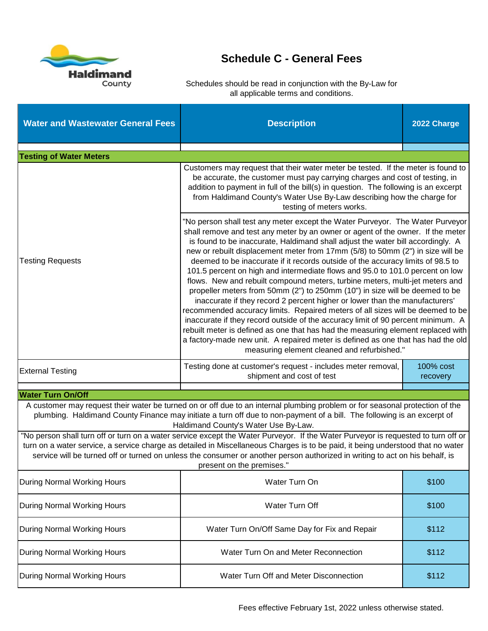

| <b>Water and Wastewater General Fees</b>                                                                                                                                                                                                                                                                                                                                                                                                                                                                                                                                                                                                                                                                                                                                                                                                                                                                                                                                                                                                                                                                                                                                        | <b>Description</b>                                                                                                                                                                                                                                                                                                                                                                                                                | 2022 Charge |  |  |
|---------------------------------------------------------------------------------------------------------------------------------------------------------------------------------------------------------------------------------------------------------------------------------------------------------------------------------------------------------------------------------------------------------------------------------------------------------------------------------------------------------------------------------------------------------------------------------------------------------------------------------------------------------------------------------------------------------------------------------------------------------------------------------------------------------------------------------------------------------------------------------------------------------------------------------------------------------------------------------------------------------------------------------------------------------------------------------------------------------------------------------------------------------------------------------|-----------------------------------------------------------------------------------------------------------------------------------------------------------------------------------------------------------------------------------------------------------------------------------------------------------------------------------------------------------------------------------------------------------------------------------|-------------|--|--|
| <b>Testing of Water Meters</b>                                                                                                                                                                                                                                                                                                                                                                                                                                                                                                                                                                                                                                                                                                                                                                                                                                                                                                                                                                                                                                                                                                                                                  |                                                                                                                                                                                                                                                                                                                                                                                                                                   |             |  |  |
|                                                                                                                                                                                                                                                                                                                                                                                                                                                                                                                                                                                                                                                                                                                                                                                                                                                                                                                                                                                                                                                                                                                                                                                 | Customers may request that their water meter be tested. If the meter is found to<br>be accurate, the customer must pay carrying charges and cost of testing, in<br>addition to payment in full of the bill(s) in question. The following is an excerpt<br>from Haldimand County's Water Use By-Law describing how the charge for<br>testing of meters works.                                                                      |             |  |  |
| "No person shall test any meter except the Water Purveyor. The Water Purveyor<br>shall remove and test any meter by an owner or agent of the owner. If the meter<br>is found to be inaccurate, Haldimand shall adjust the water bill accordingly. A<br>new or rebuilt displacement meter from 17mm (5/8) to 50mm (2") in size will be<br>deemed to be inaccurate if it records outside of the accuracy limits of 98.5 to<br><b>Testing Requests</b><br>101.5 percent on high and intermediate flows and 95.0 to 101.0 percent on low<br>flows. New and rebuilt compound meters, turbine meters, multi-jet meters and<br>propeller meters from 50mm (2") to 250mm (10") in size will be deemed to be<br>inaccurate if they record 2 percent higher or lower than the manufacturers'<br>recommended accuracy limits. Repaired meters of all sizes will be deemed to be<br>inaccurate if they record outside of the accuracy limit of 90 percent minimum. A<br>rebuilt meter is defined as one that has had the measuring element replaced with<br>a factory-made new unit. A repaired meter is defined as one that has had the old<br>measuring element cleaned and refurbished." |                                                                                                                                                                                                                                                                                                                                                                                                                                   |             |  |  |
| <b>External Testing</b>                                                                                                                                                                                                                                                                                                                                                                                                                                                                                                                                                                                                                                                                                                                                                                                                                                                                                                                                                                                                                                                                                                                                                         | Testing done at customer's request - includes meter removal,<br>100% cost<br>shipment and cost of test<br>recovery                                                                                                                                                                                                                                                                                                                |             |  |  |
| <b>Water Turn On/Off</b>                                                                                                                                                                                                                                                                                                                                                                                                                                                                                                                                                                                                                                                                                                                                                                                                                                                                                                                                                                                                                                                                                                                                                        |                                                                                                                                                                                                                                                                                                                                                                                                                                   |             |  |  |
|                                                                                                                                                                                                                                                                                                                                                                                                                                                                                                                                                                                                                                                                                                                                                                                                                                                                                                                                                                                                                                                                                                                                                                                 | A customer may request their water be turned on or off due to an internal plumbing problem or for seasonal protection of the<br>plumbing. Haldimand County Finance may initiate a turn off due to non-payment of a bill. The following is an excerpt of<br>Haldimand County's Water Use By-Law.                                                                                                                                   |             |  |  |
|                                                                                                                                                                                                                                                                                                                                                                                                                                                                                                                                                                                                                                                                                                                                                                                                                                                                                                                                                                                                                                                                                                                                                                                 | "No person shall turn off or turn on a water service except the Water Purveyor. If the Water Purveyor is requested to turn off or<br>turn on a water service, a service charge as detailed in Miscellaneous Charges is to be paid, it being understood that no water<br>service will be turned off or turned on unless the consumer or another person authorized in writing to act on his behalf, is<br>present on the premises." |             |  |  |
| During Normal Working Hours                                                                                                                                                                                                                                                                                                                                                                                                                                                                                                                                                                                                                                                                                                                                                                                                                                                                                                                                                                                                                                                                                                                                                     | Water Turn On<br>\$100                                                                                                                                                                                                                                                                                                                                                                                                            |             |  |  |
| During Normal Working Hours                                                                                                                                                                                                                                                                                                                                                                                                                                                                                                                                                                                                                                                                                                                                                                                                                                                                                                                                                                                                                                                                                                                                                     | Water Turn Off<br>\$100                                                                                                                                                                                                                                                                                                                                                                                                           |             |  |  |
| <b>During Normal Working Hours</b>                                                                                                                                                                                                                                                                                                                                                                                                                                                                                                                                                                                                                                                                                                                                                                                                                                                                                                                                                                                                                                                                                                                                              | Water Turn On/Off Same Day for Fix and Repair<br>\$112                                                                                                                                                                                                                                                                                                                                                                            |             |  |  |
| <b>During Normal Working Hours</b>                                                                                                                                                                                                                                                                                                                                                                                                                                                                                                                                                                                                                                                                                                                                                                                                                                                                                                                                                                                                                                                                                                                                              | Water Turn On and Meter Reconnection<br>\$112                                                                                                                                                                                                                                                                                                                                                                                     |             |  |  |
| <b>During Normal Working Hours</b>                                                                                                                                                                                                                                                                                                                                                                                                                                                                                                                                                                                                                                                                                                                                                                                                                                                                                                                                                                                                                                                                                                                                              | Water Turn Off and Meter Disconnection<br>\$112                                                                                                                                                                                                                                                                                                                                                                                   |             |  |  |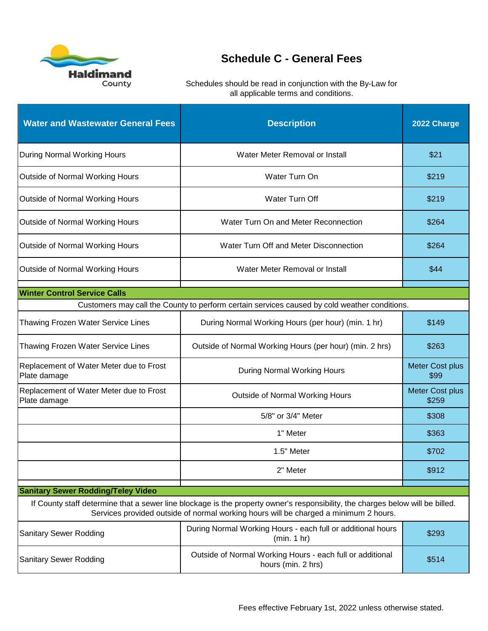

| <b>Water and Wastewater General Fees</b>                                                                         | <b>Description</b>                                                                                                                                                                                                     | 2022 Charge                    |
|------------------------------------------------------------------------------------------------------------------|------------------------------------------------------------------------------------------------------------------------------------------------------------------------------------------------------------------------|--------------------------------|
| During Normal Working Hours                                                                                      | Water Meter Removal or Install                                                                                                                                                                                         | \$21                           |
| Outside of Normal Working Hours                                                                                  | Water Turn On                                                                                                                                                                                                          | \$219                          |
| Outside of Normal Working Hours                                                                                  | Water Turn Off                                                                                                                                                                                                         | \$219                          |
| Outside of Normal Working Hours                                                                                  | Water Turn On and Meter Reconnection                                                                                                                                                                                   | \$264                          |
| Outside of Normal Working Hours                                                                                  | Water Turn Off and Meter Disconnection                                                                                                                                                                                 | \$264                          |
| Outside of Normal Working Hours                                                                                  | Water Meter Removal or Install                                                                                                                                                                                         | \$44                           |
| <b>Winter Control Service Calls</b>                                                                              |                                                                                                                                                                                                                        |                                |
|                                                                                                                  | Customers may call the County to perform certain services caused by cold weather conditions.                                                                                                                           |                                |
| Thawing Frozen Water Service Lines                                                                               | During Normal Working Hours (per hour) (min. 1 hr)                                                                                                                                                                     |                                |
| Thawing Frozen Water Service Lines                                                                               | Outside of Normal Working Hours (per hour) (min. 2 hrs)                                                                                                                                                                |                                |
| Replacement of Water Meter due to Frost<br>Plate damage                                                          | <b>During Normal Working Hours</b>                                                                                                                                                                                     | <b>Meter Cost plus</b><br>\$99 |
| Replacement of Water Meter due to Frost<br>Plate damage                                                          | Outside of Normal Working Hours                                                                                                                                                                                        | Meter Cost plus<br>\$259       |
|                                                                                                                  | 5/8" or 3/4" Meter                                                                                                                                                                                                     | \$308                          |
|                                                                                                                  | 1" Meter                                                                                                                                                                                                               | \$363                          |
|                                                                                                                  | 1.5" Meter                                                                                                                                                                                                             | \$702                          |
|                                                                                                                  | 2" Meter                                                                                                                                                                                                               | \$912                          |
| <b>Sanitary Sewer Rodding/Teley Video</b>                                                                        |                                                                                                                                                                                                                        |                                |
|                                                                                                                  | If County staff determine that a sewer line blockage is the property owner's responsibility, the charges below will be billed.<br>Services provided outside of normal working hours will be charged a minimum 2 hours. |                                |
| <b>Sanitary Sewer Rodding</b>                                                                                    | During Normal Working Hours - each full or additional hours<br>\$293<br>(min. 1 hr)                                                                                                                                    |                                |
| Outside of Normal Working Hours - each full or additional<br><b>Sanitary Sewer Rodding</b><br>hours (min. 2 hrs) |                                                                                                                                                                                                                        | \$514                          |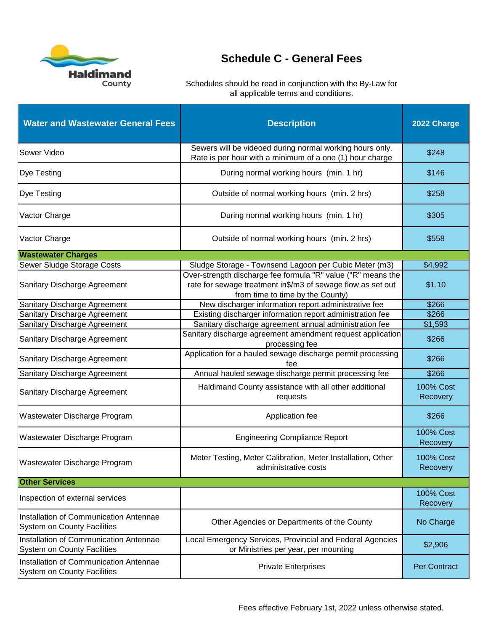

| <b>Water and Wastewater General Fees</b>                                     | <b>Description</b>                                                                                                                                              | 2022 Charge                  |
|------------------------------------------------------------------------------|-----------------------------------------------------------------------------------------------------------------------------------------------------------------|------------------------------|
| Sewer Video                                                                  | Sewers will be videoed during normal working hours only.<br>Rate is per hour with a minimum of a one (1) hour charge                                            | \$248                        |
| <b>Dye Testing</b>                                                           | During normal working hours (min. 1 hr)                                                                                                                         | \$146                        |
| <b>Dye Testing</b>                                                           | Outside of normal working hours (min. 2 hrs)                                                                                                                    | \$258                        |
| Vactor Charge                                                                | During normal working hours (min. 1 hr)                                                                                                                         | \$305                        |
| Vactor Charge                                                                | Outside of normal working hours (min. 2 hrs)                                                                                                                    | \$558                        |
| <b>Wastewater Charges</b>                                                    |                                                                                                                                                                 |                              |
| Sewer Sludge Storage Costs                                                   | Sludge Storage - Townsend Lagoon per Cubic Meter (m3)                                                                                                           | \$4.992                      |
| Sanitary Discharge Agreement                                                 | Over-strength discharge fee formula "R" value ("R" means the<br>rate for sewage treatment in\$/m3 of sewage flow as set out<br>from time to time by the County) | \$1.10                       |
| Sanitary Discharge Agreement                                                 | New discharger information report administrative fee                                                                                                            | \$266                        |
| Sanitary Discharge Agreement                                                 | Existing discharger information report administration fee                                                                                                       | \$266                        |
| Sanitary Discharge Agreement                                                 | Sanitary discharge agreement annual administration fee                                                                                                          | \$1,593                      |
| Sanitary Discharge Agreement                                                 | Sanitary discharge agreement amendment request application<br>processing fee                                                                                    | \$266                        |
| Sanitary Discharge Agreement                                                 | Application for a hauled sewage discharge permit processing<br>fee                                                                                              |                              |
| Sanitary Discharge Agreement                                                 | Annual hauled sewage discharge permit processing fee                                                                                                            | \$266                        |
| Sanitary Discharge Agreement                                                 | Haldimand County assistance with all other additional<br>requests                                                                                               |                              |
| Wastewater Discharge Program                                                 | Application fee                                                                                                                                                 | \$266                        |
| Wastewater Discharge Program                                                 | <b>Engineering Compliance Report</b>                                                                                                                            | <b>100% Cost</b><br>Recovery |
| Wastewater Discharge Program                                                 | Meter Testing, Meter Calibration, Meter Installation, Other<br>administrative costs                                                                             |                              |
| <b>Other Services</b>                                                        |                                                                                                                                                                 |                              |
| Inspection of external services                                              |                                                                                                                                                                 | <b>100% Cost</b><br>Recovery |
| Installation of Communication Antennae<br><b>System on County Facilities</b> | Other Agencies or Departments of the County                                                                                                                     | No Charge                    |
| Installation of Communication Antennae<br><b>System on County Facilities</b> | Local Emergency Services, Provincial and Federal Agencies<br>or Ministries per year, per mounting                                                               | \$2,906                      |
| Installation of Communication Antennae<br><b>System on County Facilities</b> | <b>Private Enterprises</b>                                                                                                                                      | <b>Per Contract</b>          |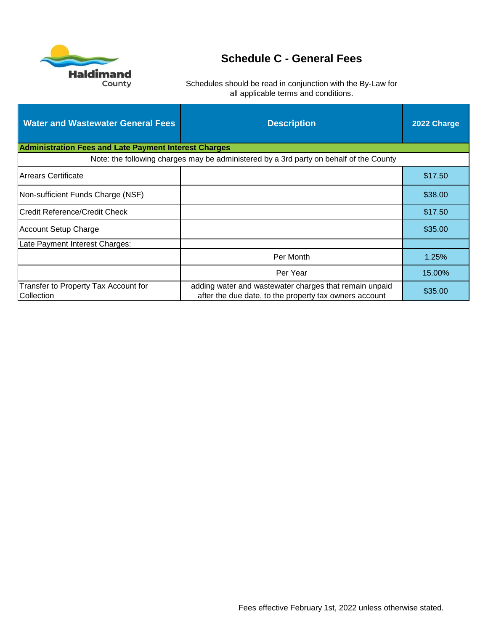

| <b>Water and Wastewater General Fees</b>                     | <b>Description</b>                                                                                                          | 2022 Charge |
|--------------------------------------------------------------|-----------------------------------------------------------------------------------------------------------------------------|-------------|
| <b>Administration Fees and Late Payment Interest Charges</b> |                                                                                                                             |             |
|                                                              | Note: the following charges may be administered by a 3rd party on behalf of the County                                      |             |
| Arrears Certificate                                          |                                                                                                                             | \$17.50     |
| Non-sufficient Funds Charge (NSF)                            |                                                                                                                             | \$38.00     |
| <b>Credit Reference/Credit Check</b>                         |                                                                                                                             | \$17.50     |
| Account Setup Charge                                         |                                                                                                                             | \$35.00     |
| Late Payment Interest Charges:                               |                                                                                                                             |             |
|                                                              | Per Month                                                                                                                   | 1.25%       |
|                                                              | Per Year                                                                                                                    | 15.00%      |
| Transfer to Property Tax Account for<br>Collection           | adding water and wastewater charges that remain unpaid<br>\$35.00<br>after the due date, to the property tax owners account |             |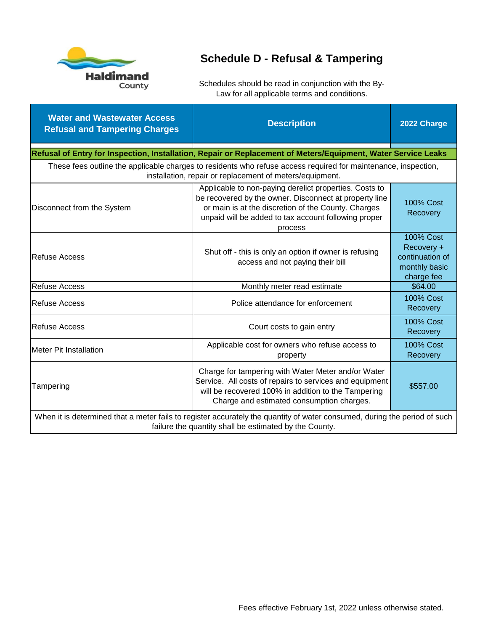

# **Schedule D - Refusal & Tampering**

| <b>Water and Wastewater Access</b><br><b>Refusal and Tampering Charges</b>                                                                                                          | <b>Description</b>                                                                                                                                                                                                                         | 2022 Charge                                                                      |  |
|-------------------------------------------------------------------------------------------------------------------------------------------------------------------------------------|--------------------------------------------------------------------------------------------------------------------------------------------------------------------------------------------------------------------------------------------|----------------------------------------------------------------------------------|--|
|                                                                                                                                                                                     | Refusal of Entry for Inspection, Installation, Repair or Replacement of Meters/Equipment, Water Service Leaks                                                                                                                              |                                                                                  |  |
|                                                                                                                                                                                     | These fees outline the applicable charges to residents who refuse access required for maintenance, inspection,<br>installation, repair or replacement of meters/equipment.                                                                 |                                                                                  |  |
| Disconnect from the System                                                                                                                                                          | Applicable to non-paying derelict properties. Costs to<br>be recovered by the owner. Disconnect at property line<br>or main is at the discretion of the County. Charges<br>unpaid will be added to tax account following proper<br>process | <b>100% Cost</b><br>Recovery                                                     |  |
| <b>Refuse Access</b>                                                                                                                                                                | Shut off - this is only an option if owner is refusing<br>access and not paying their bill                                                                                                                                                 | <b>100% Cost</b><br>Recovery +<br>continuation of<br>monthly basic<br>charge fee |  |
| <b>Refuse Access</b>                                                                                                                                                                | Monthly meter read estimate                                                                                                                                                                                                                | \$64.00                                                                          |  |
| <b>Refuse Access</b>                                                                                                                                                                | Police attendance for enforcement                                                                                                                                                                                                          | <b>100% Cost</b><br>Recovery                                                     |  |
| <b>Refuse Access</b>                                                                                                                                                                | Court costs to gain entry                                                                                                                                                                                                                  | <b>100% Cost</b><br>Recovery                                                     |  |
| Meter Pit Installation                                                                                                                                                              | Applicable cost for owners who refuse access to<br>property                                                                                                                                                                                |                                                                                  |  |
| Tampering                                                                                                                                                                           | Charge for tampering with Water Meter and/or Water<br>Service. All costs of repairs to services and equipment<br>will be recovered 100% in addition to the Tampering<br>Charge and estimated consumption charges.                          | \$557.00                                                                         |  |
| When it is determined that a meter fails to register accurately the quantity of water consumed, during the period of such<br>failure the quantity shall be estimated by the County. |                                                                                                                                                                                                                                            |                                                                                  |  |